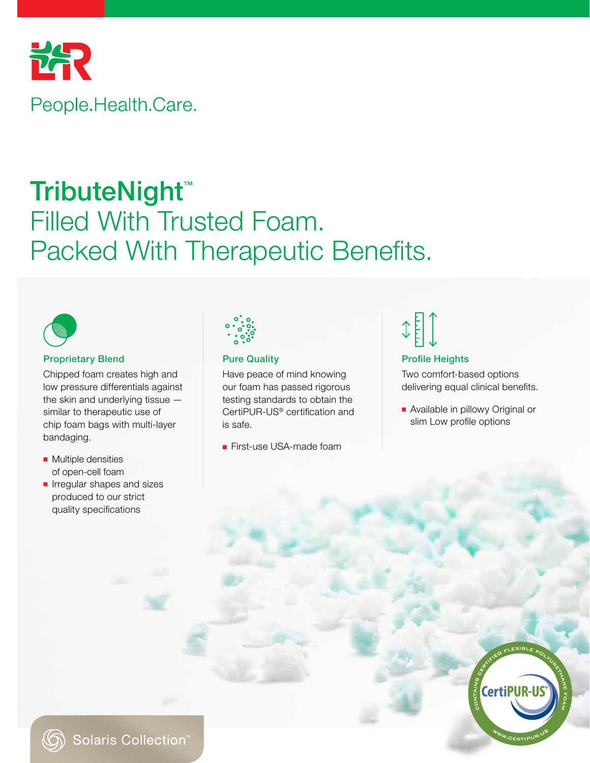

## TributeNight<sup>™</sup> Filled With Trusted Foam. Packed With Therapeutic Benefits.



## Proprietary Blend **Pure Quality** Profile Heights **Profile Heights**

Chipped foam creates high and low pressure differentials against the skin and underlying tissue similar to therapeutic use of chip foam bags with multi-layer bandaging.

- Multiple densities of open-cell foam
- Irregular shapes and sizes produced to our strict quality specifications



Have peace of mind knowing our foam has passed rigorous testing standards to obtain the CertiPUR-US® certification and is safe.

■ First-use USA-made foam

# $\begin{picture}(220,20) \put(0,0){\line(1,0){155}} \put(15,0){\line(1,0){155}} \put(15,0){\line(1,0){155}} \put(15,0){\line(1,0){155}} \put(15,0){\line(1,0){155}} \put(15,0){\line(1,0){155}} \put(15,0){\line(1,0){155}} \put(15,0){\line(1,0){155}} \put(15,0){\line(1,0){155}} \put(15,0){\line(1,0){155}} \put(15,0){\line(1,0){155}}$

Two comfort-based options delivering equal clinical benefits.

■ Available in pillowy Original or slim Low profile options